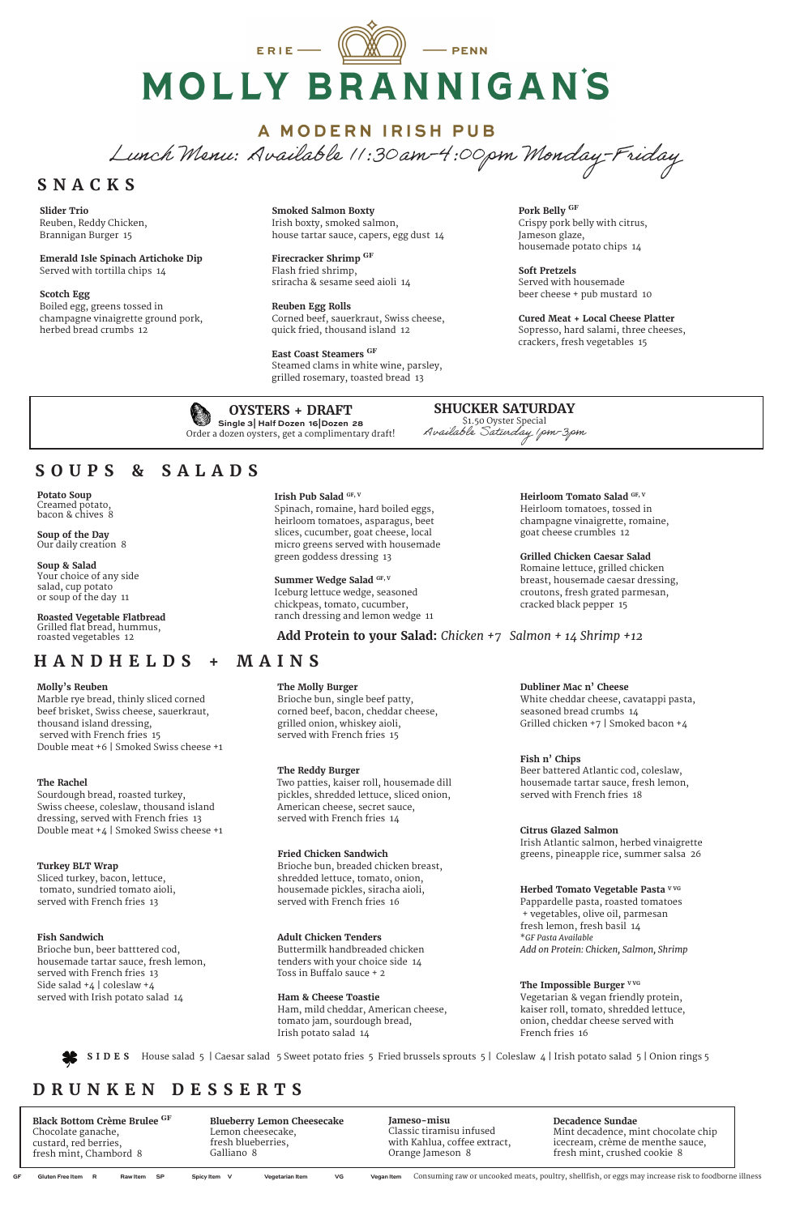# ERIE  $\equiv$  $-$  PENN MOLLY BRANNIGAN'S

## A MODERN IRISH PUB

Lunch Menu: Available 11:30am-4:00pm Monday-Friday

#### **Potato Soup** Creamed potato, bacon & chives 8

# **SOUPS & SALADS**

**Soup of the Day** Our daily creation 8

#### **Soup & Salad**  Your choice of any side salad, cup potato or soup of the day 11

**Roasted Vegetable Flatbread** Grilled flat bread, hummus, roasted vegetables 12

#### **Irish Pub Salad GF, V**

Spinach, romaine, hard boiled eggs, heirloom tomatoes, asparagus, beet slices, cucumber, goat cheese, local micro greens served with housemade green goddess dressing 13

#### Summer Wedge Salad GF, V

Iceburg lettuce wedge, seasoned chickpeas, tomato, cucumber, ranch dressing and lemon wedge 11 **Heirloom Tomato Salad GF, V** Heirloom tomatoes, tossed in champagne vinaigrette, romaine,

goat cheese crumbles 12

**Grilled Chicken Caesar Salad** Romaine lettuce, grilled chicken breast, housemade caesar dressing, croutons, fresh grated parmesan,

cracked black pepper 15

**Add Protein to your Salad:** *Chicken +7 Salmon + 14 Shrimp +12*

**OYSTERS + DRAFT Single 3| Half Dozen 16|Dozen 28** Order a dozen oysters, get a complimentary draft!

# **HANDHELDS + MAINS**

**SHUCKER SATURDAY** \$1.50 Oyster Special Available Saturday 1pm-3pm

#### **Molly's Reuben**

Marble rye bread, thinly sliced corned beef brisket, Swiss cheese, sauerkraut, thousand island dressing, served with French fries 15 Double meat +6 | Smoked Swiss cheese +1

#### **The Rachel**

Sourdough bread, roasted turkey, Swiss cheese, coleslaw, thousand island dressing, served with French fries 13 Double meat +4 | Smoked Swiss cheese +1

### **Turkey BLT Wrap**

Sliced turkey, bacon, lettuce, tomato, sundried tomato aioli,

> The Impossible Burger **VVG** Vegetarian & vegan friendly protein, kaiser roll, tomato, shredded lettuce, onion, cheddar cheese served with French fries 16

served with French fries 13

#### **Fish Sandwich**

Brioche bun, beer batttered cod, housemade tartar sauce, fresh lemon, served with French fries 13 Side salad +4 | coleslaw +4 served with Irish potato salad 14

**The Molly Burger**

Brioche bun, single beef patty, corned beef, bacon, cheddar cheese,

grilled onion, whiskey aioli, served with French fries 15

**The Reddy Burger**

Two patties, kaiser roll, housemade dill pickles, shredded lettuce, sliced onion,

American cheese, secret sauce, served with French fries 14

**Fried Chicken Sandwich**

Brioche bun, breaded chicken breast, shredded lettuce, tomato, onion,

housemade pickles, siracha aioli, served with French fries 16

**Adult Chicken Tenders** Buttermilk handbreaded chicken tenders with your choice side 14 Toss in Buffalo sauce + 2

**Ham & Cheese Toastie** Ham, mild cheddar, American cheese, tomato jam, sourdough bread, Irish potato salad 14

#### **Dubliner Mac n' Cheese**

White cheddar cheese, cavatappi pasta, seasoned bread crumbs 14 Grilled chicken +7 | Smoked bacon +4

### **Fish n' Chips**

Beer battered Atlantic cod, coleslaw, housemade tartar sauce, fresh lemon, served with French fries 18

#### **Citrus Glazed Salmon**

Irish Atlantic salmon, herbed vinaigrette greens, pineapple rice, summer salsa 26

**Herbed Tomato Vegetable Pasta V VG** Pappardelle pasta, roasted tomatoes + vegetables, olive oil, parmesan fresh lemon, fresh basil 14 \**GF Pasta Available Add on Protein: Chicken, Salmon, Shrimp*

**SIDES** House salad 5 | Caesar salad 5 Sweet potato fries 5 Fried brussels sprouts 5 | Coleslaw 4 | Irish potato salad 5 | Onion rings 5

# **SNACKS**

**Slider Trio**  Reuben, Reddy Chicken, Brannigan Burger 15

**Emerald Isle Spinach Artichoke Dip** Served with tortilla chips 14

#### **Scotch Egg**

Boiled egg, greens tossed in champagne vinaigrette ground pork, herbed bread crumbs 12

**Smoked Salmon Boxty**  Irish boxty, smoked salmon, house tartar sauce, capers, egg dust 14

**Firecracker Shrimp GF** Flash fried shrimp, sriracha & sesame seed aioli 14

**Reuben Egg Rolls** Corned beef, sauerkraut, Swiss cheese, quick fried, thousand island 12

**East Coast Steamers GF** Steamed clams in white wine, parsley, grilled rosemary, toasted bread 13

**Pork Belly GF** Crispy pork belly with citrus, Jameson glaze, housemade potato chips 14

**Soft Pretzels** Served with housemade beer cheese + pub mustard 10

**Cured Meat + Local Cheese Platter** Sopresso, hard salami, three cheeses, crackers, fresh vegetables 15



# **DRUNKEN DESSERTS**

**Black Bottom Crème Brulee GF**  Chocolate ganache, custard, red berries, fresh mint, Chambord 8

**Jameso-misu** Classic tiramisu infused with Kahlua, coffee extract, Orange Jameson 8

**Blueberry Lemon Cheesecake**  Lemon cheesecake, fresh blueberries, Galliano 8

#### **Decadence Sundae**

Mint decadence, mint chocolate chip icecream, crème de menthe sauce, fresh mint, crushed cookie 8

GF Gluten Free Item R Raw Item SP Spicy Item V Vegetarian Item VG Vegan Item Consuming raw or uncooked meats, poultry, shellfish, or eggs may increase risk to foodborne illness